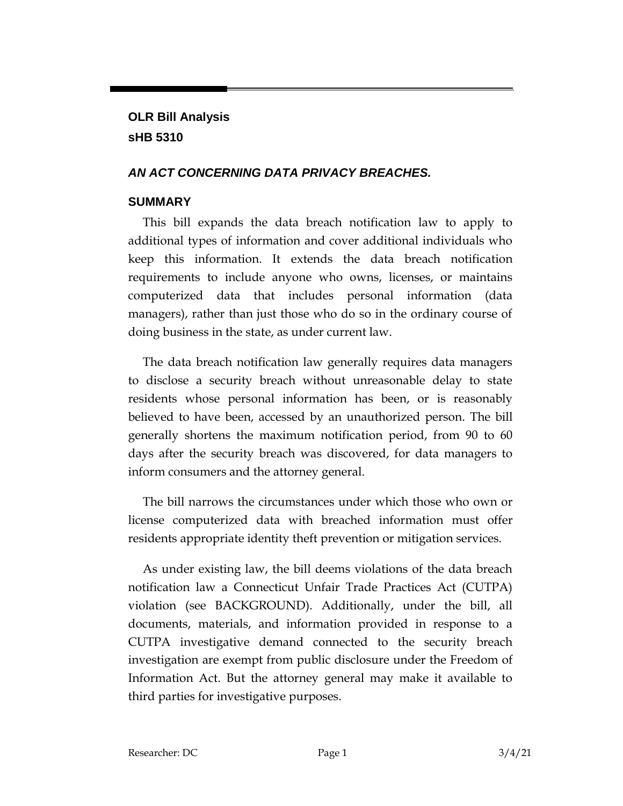# **OLR Bill Analysis sHB 5310**

## *AN ACT CONCERNING DATA PRIVACY BREACHES.*

## **SUMMARY**

This bill expands the data breach notification law to apply to additional types of information and cover additional individuals who keep this information. It extends the data breach notification requirements to include anyone who owns, licenses, or maintains computerized data that includes personal information (data managers), rather than just those who do so in the ordinary course of doing business in the state, as under current law.

The data breach notification law generally requires data managers to disclose a security breach without unreasonable delay to state residents whose personal information has been, or is reasonably believed to have been, accessed by an unauthorized person. The bill generally shortens the maximum notification period, from 90 to 60 days after the security breach was discovered, for data managers to inform consumers and the attorney general.

The bill narrows the circumstances under which those who own or license computerized data with breached information must offer residents appropriate identity theft prevention or mitigation services.

As under existing law, the bill deems violations of the data breach notification law a Connecticut Unfair Trade Practices Act (CUTPA) violation (see BACKGROUND). Additionally, under the bill, all documents, materials, and information provided in response to a CUTPA investigative demand connected to the security breach investigation are exempt from public disclosure under the Freedom of Information Act. But the attorney general may make it available to third parties for investigative purposes.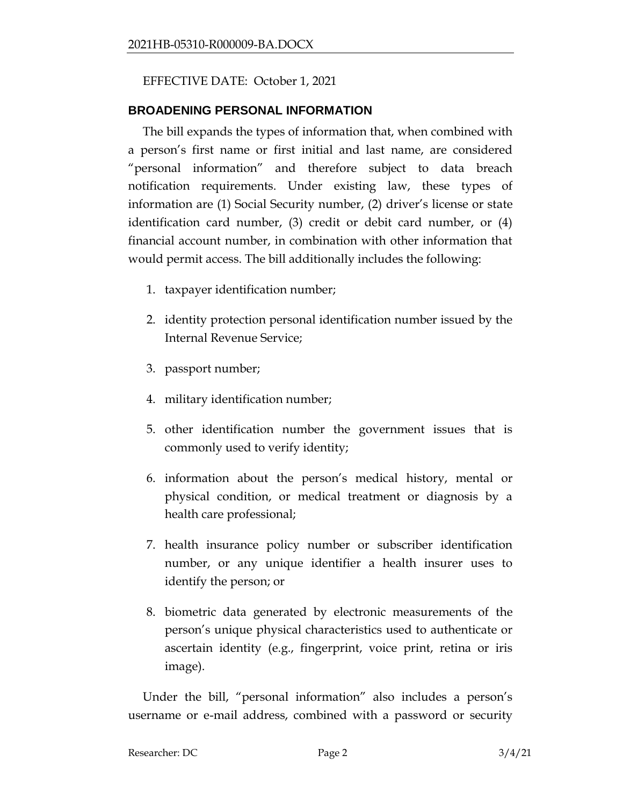## EFFECTIVE DATE: October 1, 2021

#### **BROADENING PERSONAL INFORMATION**

The bill expands the types of information that, when combined with a person's first name or first initial and last name, are considered "personal information" and therefore subject to data breach notification requirements. Under existing law, these types of information are (1) Social Security number, (2) driver's license or state identification card number, (3) credit or debit card number, or (4) financial account number, in combination with other information that would permit access. The bill additionally includes the following:

- 1. taxpayer identification number;
- 2. identity protection personal identification number issued by the Internal Revenue Service;
- 3. passport number;
- 4. military identification number;
- 5. other identification number the government issues that is commonly used to verify identity;
- 6. information about the person's medical history, mental or physical condition, or medical treatment or diagnosis by a health care professional;
- 7. health insurance policy number or subscriber identification number, or any unique identifier a health insurer uses to identify the person; or
- 8. biometric data generated by electronic measurements of the person's unique physical characteristics used to authenticate or ascertain identity (e.g., fingerprint, voice print, retina or iris image).

Under the bill, "personal information" also includes a person's username or e-mail address, combined with a password or security

```
Researcher: DC Page 2 3/4/21
```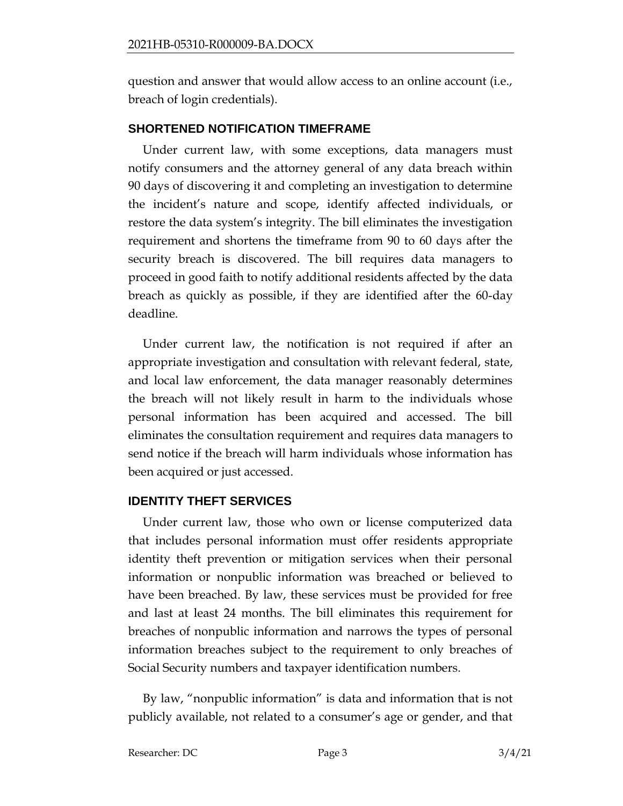question and answer that would allow access to an online account (i.e., breach of login credentials).

#### **SHORTENED NOTIFICATION TIMEFRAME**

Under current law, with some exceptions, data managers must notify consumers and the attorney general of any data breach within 90 days of discovering it and completing an investigation to determine the incident's nature and scope, identify affected individuals, or restore the data system's integrity. The bill eliminates the investigation requirement and shortens the timeframe from 90 to 60 days after the security breach is discovered. The bill requires data managers to proceed in good faith to notify additional residents affected by the data breach as quickly as possible, if they are identified after the 60-day deadline.

Under current law, the notification is not required if after an appropriate investigation and consultation with relevant federal, state, and local law enforcement, the data manager reasonably determines the breach will not likely result in harm to the individuals whose personal information has been acquired and accessed. The bill eliminates the consultation requirement and requires data managers to send notice if the breach will harm individuals whose information has been acquired or just accessed.

#### **IDENTITY THEFT SERVICES**

Under current law, those who own or license computerized data that includes personal information must offer residents appropriate identity theft prevention or mitigation services when their personal information or nonpublic information was breached or believed to have been breached. By law, these services must be provided for free and last at least 24 months. The bill eliminates this requirement for breaches of nonpublic information and narrows the types of personal information breaches subject to the requirement to only breaches of Social Security numbers and taxpayer identification numbers.

By law, "nonpublic information" is data and information that is not publicly available, not related to a consumer's age or gender, and that

Researcher: DC Page 3 3/4/21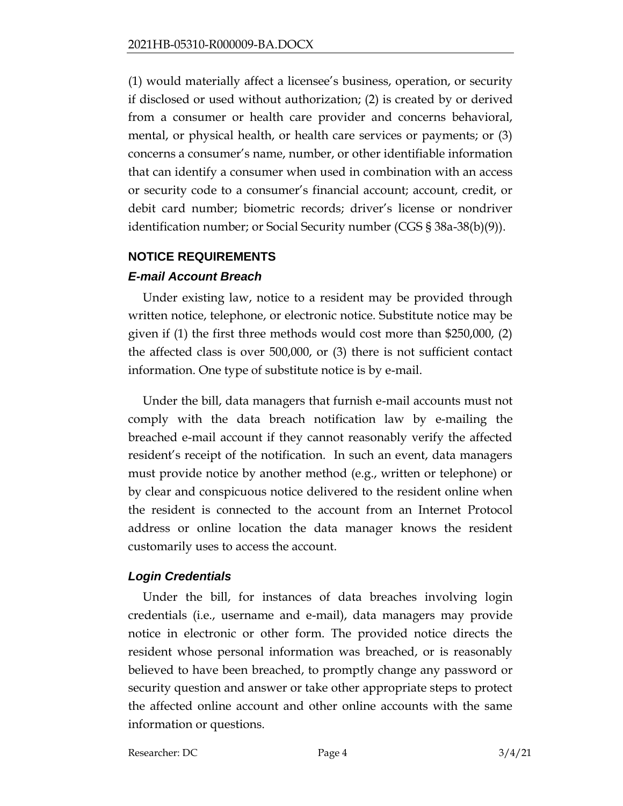(1) would materially affect a licensee's business, operation, or security if disclosed or used without authorization; (2) is created by or derived from a consumer or health care provider and concerns behavioral, mental, or physical health, or health care services or payments; or (3) concerns a consumer's name, number, or other identifiable information that can identify a consumer when used in combination with an access or security code to a consumer's financial account; account, credit, or debit card number; biometric records; driver's license or nondriver identification number; or Social Security number (CGS § 38a-38(b)(9)).

## **NOTICE REQUIREMENTS**

## *E-mail Account Breach*

Under existing law, notice to a resident may be provided through written notice, telephone, or electronic notice. Substitute notice may be given if (1) the first three methods would cost more than \$250,000, (2) the affected class is over 500,000, or (3) there is not sufficient contact information. One type of substitute notice is by e-mail.

Under the bill, data managers that furnish e-mail accounts must not comply with the data breach notification law by e-mailing the breached e-mail account if they cannot reasonably verify the affected resident's receipt of the notification. In such an event, data managers must provide notice by another method (e.g., written or telephone) or by clear and conspicuous notice delivered to the resident online when the resident is connected to the account from an Internet Protocol address or online location the data manager knows the resident customarily uses to access the account.

#### *Login Credentials*

Under the bill, for instances of data breaches involving login credentials (i.e., username and e-mail), data managers may provide notice in electronic or other form. The provided notice directs the resident whose personal information was breached, or is reasonably believed to have been breached, to promptly change any password or security question and answer or take other appropriate steps to protect the affected online account and other online accounts with the same information or questions.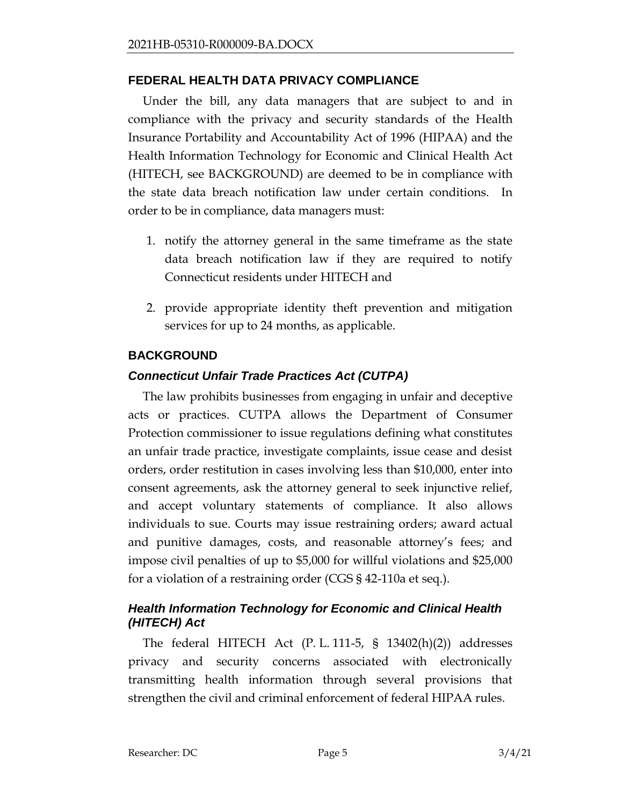#### **FEDERAL HEALTH DATA PRIVACY COMPLIANCE**

Under the bill, any data managers that are subject to and in compliance with the privacy and security standards of the Health Insurance Portability and Accountability Act of 1996 (HIPAA) and the Health Information Technology for Economic and Clinical Health Act (HITECH, see BACKGROUND) are deemed to be in compliance with the state data breach notification law under certain conditions. In order to be in compliance, data managers must:

- 1. notify the attorney general in the same timeframe as the state data breach notification law if they are required to notify Connecticut residents under HITECH and
- 2. provide appropriate identity theft prevention and mitigation services for up to 24 months, as applicable.

## **BACKGROUND**

# *Connecticut Unfair Trade Practices Act (CUTPA)*

The law prohibits businesses from engaging in unfair and deceptive acts or practices. CUTPA allows the Department of Consumer Protection commissioner to issue regulations defining what constitutes an unfair trade practice, investigate complaints, issue cease and desist orders, order restitution in cases involving less than \$10,000, enter into consent agreements, ask the attorney general to seek injunctive relief, and accept voluntary statements of compliance. It also allows individuals to sue. Courts may issue restraining orders; award actual and punitive damages, costs, and reasonable attorney's fees; and impose civil penalties of up to \$5,000 for willful violations and \$25,000 for a violation of a restraining order (CGS § 42-110a et seq.).

#### *Health Information Technology for Economic and Clinical Health (HITECH) Act*

The federal HITECH Act (P. L. 111-5, § 13402(h)(2)) addresses privacy and security concerns associated with electronically transmitting health information through several provisions that strengthen the civil and criminal enforcement of federal HIPAA rules.